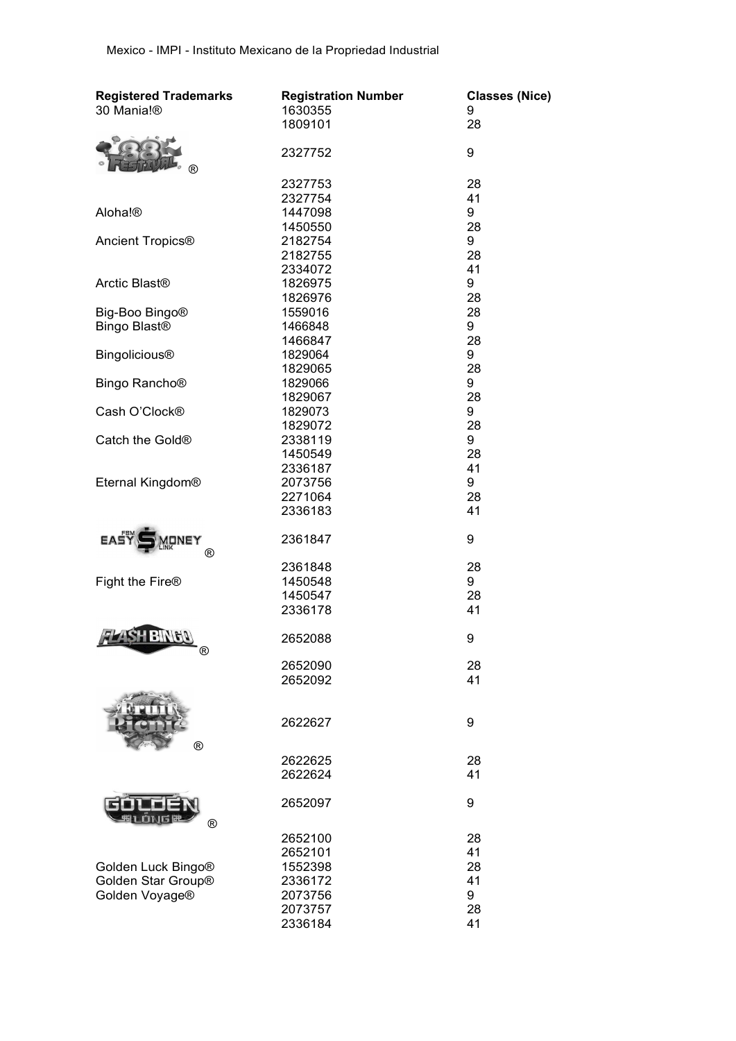| <b>Registered Trademarks</b> | <b>Registration Number</b> | <b>Classes (Nice)</b> |
|------------------------------|----------------------------|-----------------------|
| 30 Mania!®                   | 1630355                    | 9                     |
|                              | 1809101                    | 28                    |
|                              |                            |                       |
|                              | 2327752                    | 9                     |
| ®                            |                            |                       |
|                              | 2327753                    | 28                    |
|                              | 2327754                    | 41                    |
| Aloha!®                      | 1447098                    | 9                     |
|                              | 1450550                    | 28                    |
| Ancient Tropics <sup>®</sup> | 2182754                    | 9                     |
|                              | 2182755                    | 28                    |
|                              | 2334072                    | 41                    |
| Arctic Blast <sup>®</sup>    | 1826975                    | 9                     |
|                              | 1826976                    | 28                    |
| Big-Boo Bingo <sup>®</sup>   | 1559016                    | 28                    |
| Bingo Blast <sup>®</sup>     | 1466848                    | 9                     |
|                              | 1466847                    | 28                    |
| <b>Bingolicious®</b>         | 1829064                    | 9                     |
|                              | 1829065                    | 28                    |
| Bingo Rancho <sup>®</sup>    | 1829066                    | 9                     |
|                              | 1829067                    | 28                    |
| Cash O'Clock <sup>®</sup>    | 1829073                    | 9                     |
|                              | 1829072                    | 28                    |
| Catch the Gold <sup>®</sup>  | 2338119                    | 9                     |
|                              | 1450549                    | 28                    |
|                              | 2336187                    | 41                    |
| Eternal Kingdom®             | 2073756                    | 9                     |
|                              | 2271064                    | 28                    |
|                              | 2336183                    | 41                    |
|                              |                            |                       |
| <b>EASY</b><br>IONEY         | 2361847                    | 9                     |
| ®                            |                            |                       |
|                              | 2361848                    | 28                    |
| Fight the Fire <sup>®</sup>  | 1450548                    | 9                     |
|                              | 1450547                    | 28                    |
|                              | 2336178                    | 41                    |
| <b>771SH</b><br>$B V $ $B V$ |                            |                       |
| $^{\circledR}$               | 2652088                    | 9                     |
|                              | 2652090                    | 28                    |
|                              | 2652092                    | 41                    |
|                              |                            |                       |
|                              |                            |                       |
|                              | 2622627                    | 9                     |
|                              |                            |                       |
| $^{\circledR}$               |                            |                       |
|                              | 2622625                    | 28                    |
|                              | 2622624                    | 41                    |
|                              |                            |                       |
|                              | 2652097                    | 9                     |
| $^{\circledR}$               |                            |                       |
|                              | 2652100                    | 28                    |
|                              | 2652101                    | 41                    |
| Golden Luck Bingo®           | 1552398                    | 28                    |
| Golden Star Group®           | 2336172                    | 41                    |
| Golden Voyage®               | 2073756                    | 9                     |
|                              | 2073757                    | 28                    |
|                              | 2336184                    | 41                    |
|                              |                            |                       |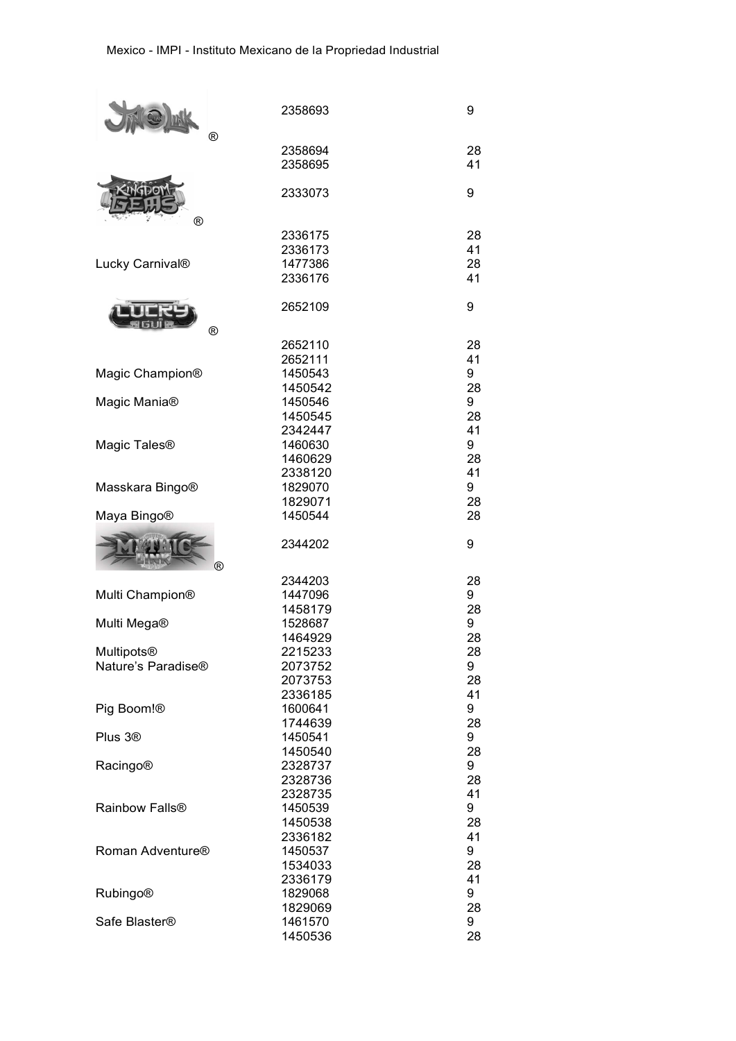|                              | 2358693            | $\boldsymbol{9}$ |  |
|------------------------------|--------------------|------------------|--|
|                              |                    |                  |  |
|                              | $^{\circledR}$     |                  |  |
|                              | 2358694            | 28               |  |
|                              | 2358695            | 41               |  |
|                              |                    |                  |  |
|                              |                    |                  |  |
|                              | 2333073            | $\boldsymbol{9}$ |  |
|                              |                    |                  |  |
| ®                            |                    |                  |  |
|                              | 2336175            | 28               |  |
| Lucky Carnival®              | 2336173            | 41               |  |
|                              | 1477386            | 28               |  |
|                              | 2336176            | 41               |  |
|                              |                    |                  |  |
|                              | 2652109            | 9                |  |
|                              |                    |                  |  |
|                              | $^{\circledR}$     |                  |  |
|                              | 2652110            | 28               |  |
|                              | 2652111            | 41               |  |
| Magic Champion®              | 1450543            | 9                |  |
|                              | 1450542            | 28               |  |
| Magic Mania <sup>®</sup>     | 1450546            | 9                |  |
|                              | 1450545            | 28               |  |
|                              | 2342447            | 41               |  |
| Magic Tales <sup>®</sup>     | 1460630            | 9                |  |
|                              | 1460629            | 28               |  |
|                              | 2338120            | 41               |  |
| Masskara Bingo®              | 1829070            | 9                |  |
|                              | 1829071            | 28               |  |
|                              |                    |                  |  |
| Maya Bingo®                  | 1450544            | 28               |  |
|                              |                    |                  |  |
|                              |                    |                  |  |
|                              | 2344202            | $\boldsymbol{9}$ |  |
|                              |                    |                  |  |
|                              | ®                  |                  |  |
|                              | 2344203            | 28               |  |
| Multi Champion®              | 1447096            | 9                |  |
|                              | 1458179            | 28               |  |
| Multi Mega®                  | 1528687            | 9                |  |
|                              | 1464929            | 28               |  |
| <b>Multipots®</b>            | 2215233            | 28               |  |
| Nature's Paradise®           | 2073752            | 9                |  |
|                              | 2073753            | 28               |  |
|                              | 2336185            | 41               |  |
| Pig Boom!®                   | 1600641            | 9                |  |
|                              | 1744639            | 28               |  |
| Plus 3 <sup>®</sup>          | 1450541            | 9                |  |
|                              | 1450540            | 28               |  |
| <b>Racingo®</b>              | 2328737            | 9                |  |
|                              | 2328736            | 28               |  |
|                              |                    |                  |  |
|                              | 2328735            | 41               |  |
| Rainbow Falls <sup>®</sup>   | 1450539            | 9                |  |
|                              | 1450538            | 28               |  |
|                              | 2336182            | 41               |  |
| Roman Adventure <sup>®</sup> | 1450537            | 9                |  |
|                              | 1534033            | 28               |  |
|                              | 2336179            | 41               |  |
| <b>Rubingo®</b>              | 1829068            | 9                |  |
|                              | 1829069            | 28               |  |
| Safe Blaster <sup>®</sup>    | 1461570<br>1450536 | 9<br>28          |  |